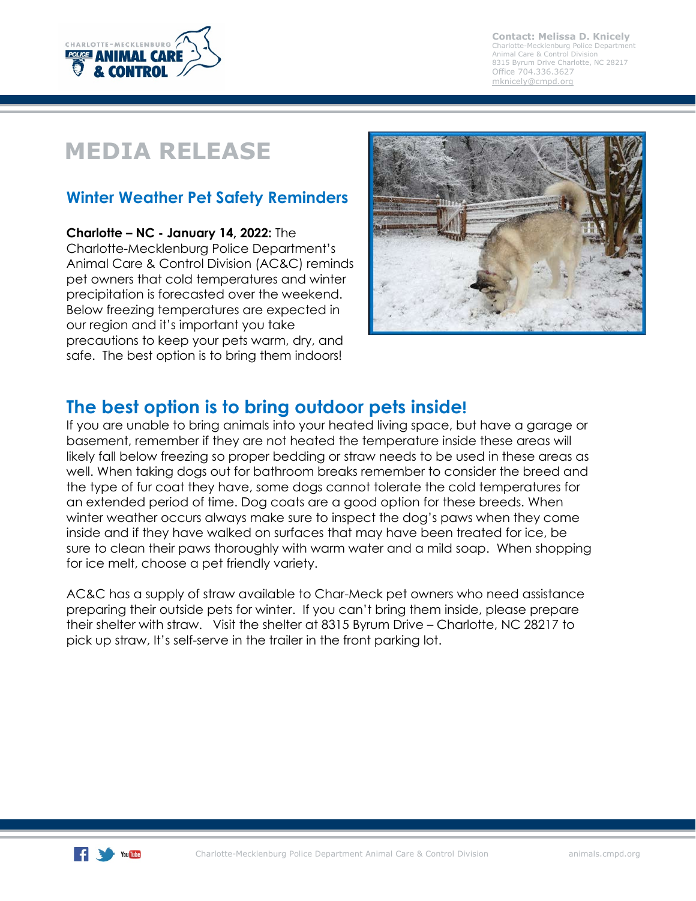

**Contact: Melissa D. Knicely** Charlotte-Mecklenburg Police Department Animal Care & Control Division 8315 Byrum Drive Charlotte, NC 28217 Office 704.336.3627 [mknicely@cmpd.org](mailto:mknicely@cmpd.org)

# **MEDIA RELEASE**

## **Winter Weather Pet Safety Reminders**

**Charlotte – NC - January 14, 2022:** The Charlotte-Mecklenburg Police Department's Animal Care & Control Division (AC&C) reminds pet owners that cold temperatures and winter precipitation is forecasted over the weekend. Below freezing temperatures are expected in our region and it's important you take precautions to keep your pets warm, dry, and safe. The best option is to bring them indoors!



## **The best option is to bring outdoor pets inside!**

If you are unable to bring animals into your heated living space, but have a garage or basement, remember if they are not heated the temperature inside these areas will likely fall below freezing so proper bedding or straw needs to be used in these areas as well. When taking dogs out for bathroom breaks remember to consider the breed and the type of fur coat they have, some dogs cannot tolerate the cold temperatures for an extended period of time. Dog coats are a good option for these breeds. When winter weather occurs always make sure to inspect the dog's paws when they come inside and if they have walked on surfaces that may have been treated for ice, be sure to clean their paws thoroughly with warm water and a mild soap. When shopping for ice melt, choose a pet friendly variety.

AC&C has a supply of straw available to Char-Meck pet owners who need assistance preparing their outside pets for winter. If you can't bring them inside, please prepare their shelter with straw. Visit the shelter at 8315 Byrum Drive – Charlotte, NC 28217 to pick up straw, It's self-serve in the trailer in the front parking lot.

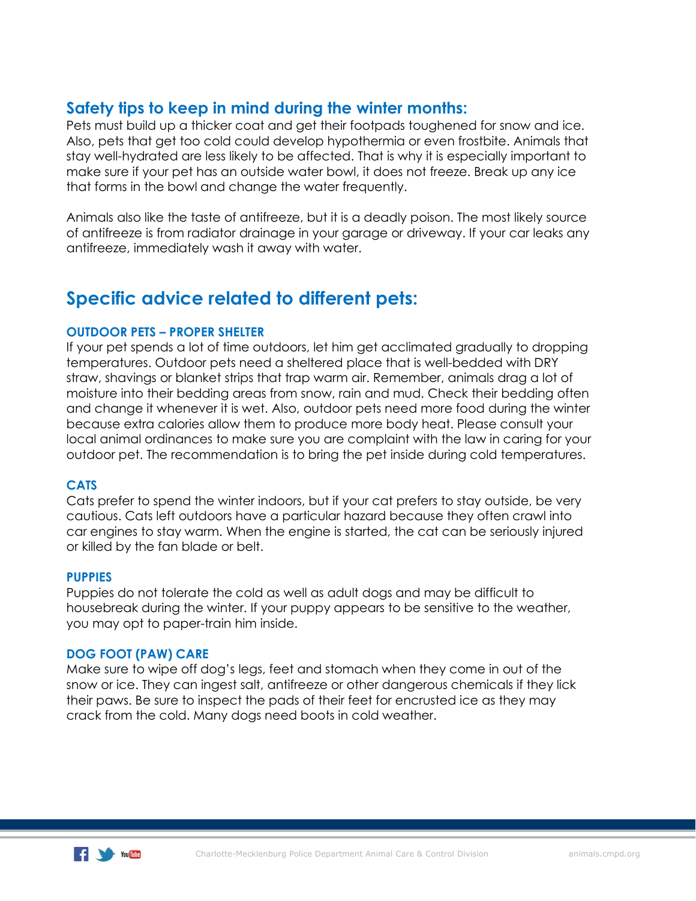### **Safety tips to keep in mind during the winter months:**

Pets must build up a thicker coat and get their footpads toughened for snow and ice. Also, pets that get too cold could develop hypothermia or even frostbite. Animals that stay well-hydrated are less likely to be affected. That is why it is especially important to make sure if your pet has an outside water bowl, it does not freeze. Break up any ice that forms in the bowl and change the water frequently.

Animals also like the taste of antifreeze, but it is a deadly poison. The most likely source of antifreeze is from radiator drainage in your garage or driveway. If your car leaks any antifreeze, immediately wash it away with water.

## **Specific advice related to different pets:**

#### **OUTDOOR PETS – PROPER SHELTER**

If your pet spends a lot of time outdoors, let him get acclimated gradually to dropping temperatures. Outdoor pets need a sheltered place that is well-bedded with DRY straw, shavings or blanket strips that trap warm air. Remember, animals drag a lot of moisture into their bedding areas from snow, rain and mud. Check their bedding often and change it whenever it is wet. Also, outdoor pets need more food during the winter because extra calories allow them to produce more body heat. Please consult your local animal ordinances to make sure you are complaint with the law in caring for your outdoor pet. The recommendation is to bring the pet inside during cold temperatures.

#### **CATS**

Cats prefer to spend the winter indoors, but if your cat prefers to stay outside, be very cautious. Cats left outdoors have a particular hazard because they often crawl into car engines to stay warm. When the engine is started, the cat can be seriously injured or killed by the fan blade or belt.

#### **PUPPIES**

Puppies do not tolerate the cold as well as adult dogs and may be difficult to housebreak during the winter. If your puppy appears to be sensitive to the weather, you may opt to paper-train him inside.

#### **DOG FOOT (PAW) CARE**

Make sure to wipe off dog's legs, feet and stomach when they come in out of the snow or ice. They can ingest salt, antifreeze or other dangerous chemicals if they lick their paws. Be sure to inspect the pads of their feet for encrusted ice as they may crack from the cold. Many dogs need boots in cold weather.